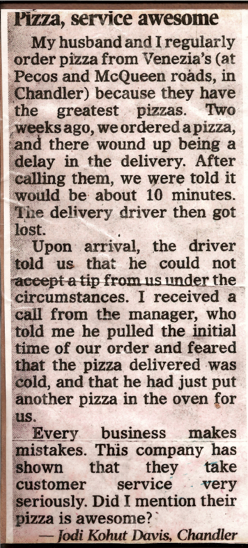## Pizza, service awesome

My husband and I regularly order pizza from Venezia's (at Pecos and McQueen roads, in Chandler) because they have the greatest pizzas. Two weeks ago, we ordered a pizza, and there wound up being a delay in the delivery. After calling them, we were told it would be about 10 minutes. The delivery driver then got lost.

Upon arrival, the driver told us that he could not accept a tip from us under the circumstances. I received a call from the manager, who told me he pulled the initial time of our order and feared that the pizza delivered was cold, and that he had just put another pizza in the oven for us.

Every business makes mistakes. This company has shown that they take customer service very seriously. Did I mention their pizza is awesome?

- Jodi Kohut Davis, Chandler